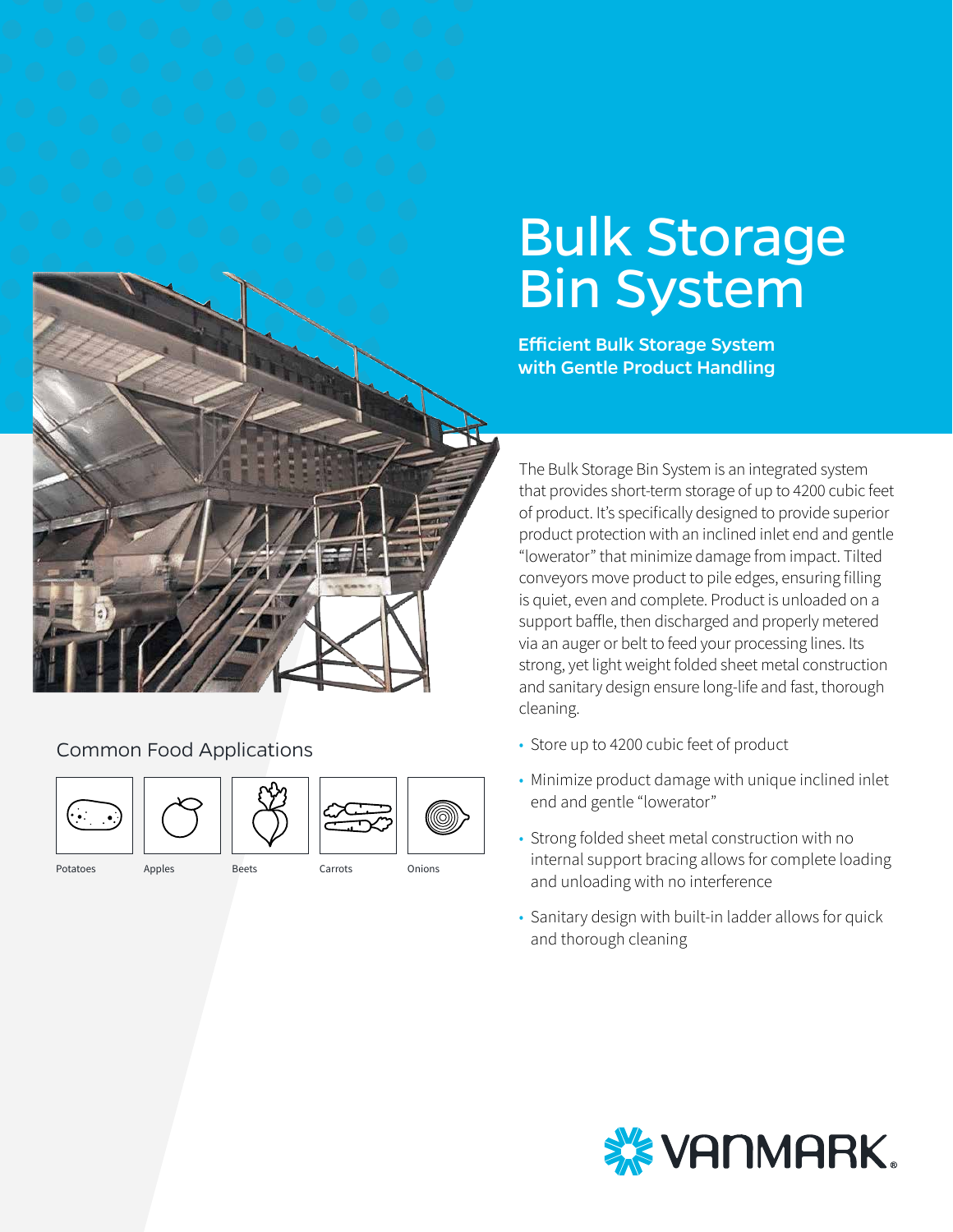# Bulk Storage Bin System

Efficient Bulk Storage System with Gentle Product Handling

The Bulk Storage Bin System is an integrated system that provides short-term storage of up to 4200 cubic feet of product. It's specifically designed to provide superior product protection with an inclined inlet end and gentle "lowerator" that minimize damage from impact. Tilted conveyors move product to pile edges, ensuring filling is quiet, even and complete. Product is unloaded on a support baffle, then discharged and properly metered via an auger or belt to feed your processing lines. Its strong, yet light weight folded sheet metal construction and sanitary design ensure long-life and fast, thorough cleaning.

- Store up to 4200 cubic feet of product
- Minimize product damage with unique inclined inlet end and gentle "lowerator"
- Strong folded sheet metal construction with no internal support bracing allows for complete loading and unloading with no interference
- Sanitary design with built-in ladder allows for quick and thorough cleaning



Common Food Applications





Potatoes Apples Beets Carrots Onions